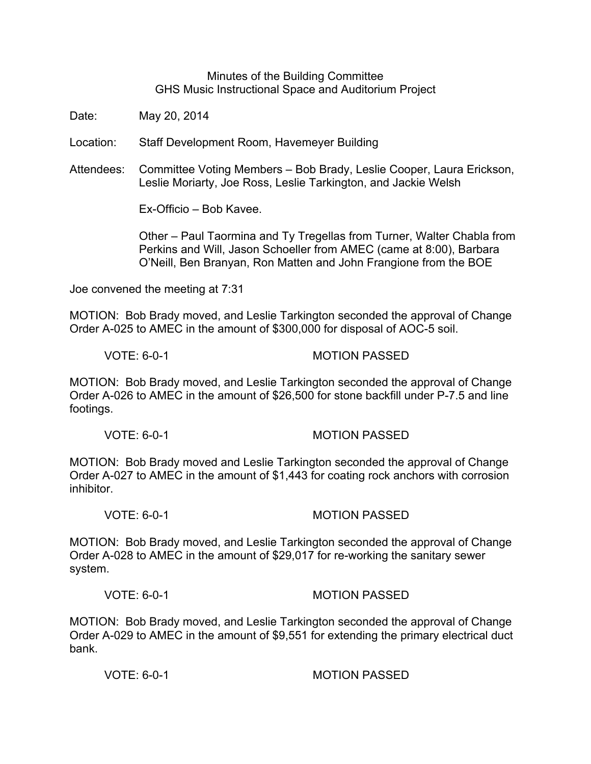Minutes of the Building Committee GHS Music Instructional Space and Auditorium Project

Date: May 20, 2014

Location: Staff Development Room, Havemeyer Building

Attendees: Committee Voting Members – Bob Brady, Leslie Cooper, Laura Erickson, Leslie Moriarty, Joe Ross, Leslie Tarkington, and Jackie Welsh

Ex-Officio – Bob Kavee.

Other – Paul Taormina and Ty Tregellas from Turner, Walter Chabla from Perkins and Will, Jason Schoeller from AMEC (came at 8:00), Barbara O'Neill, Ben Branyan, Ron Matten and John Frangione from the BOE

Joe convened the meeting at 7:31

MOTION: Bob Brady moved, and Leslie Tarkington seconded the approval of Change Order A-025 to AMEC in the amount of \$300,000 for disposal of AOC-5 soil.

VOTE: 6-0-1 MOTION PASSED

MOTION: Bob Brady moved, and Leslie Tarkington seconded the approval of Change Order A-026 to AMEC in the amount of \$26,500 for stone backfill under P-7.5 and line footings.

VOTE: 6-0-1 MOTION PASSED

MOTION: Bob Brady moved and Leslie Tarkington seconded the approval of Change Order A-027 to AMEC in the amount of \$1,443 for coating rock anchors with corrosion inhibitor.

VOTE: 6-0-1 MOTION PASSED

MOTION: Bob Brady moved, and Leslie Tarkington seconded the approval of Change Order A-028 to AMEC in the amount of \$29,017 for re-working the sanitary sewer system.

VOTE: 6-0-1 MOTION PASSED

MOTION: Bob Brady moved, and Leslie Tarkington seconded the approval of Change Order A-029 to AMEC in the amount of \$9,551 for extending the primary electrical duct bank.

VOTE: 6-0-1 MOTION PASSED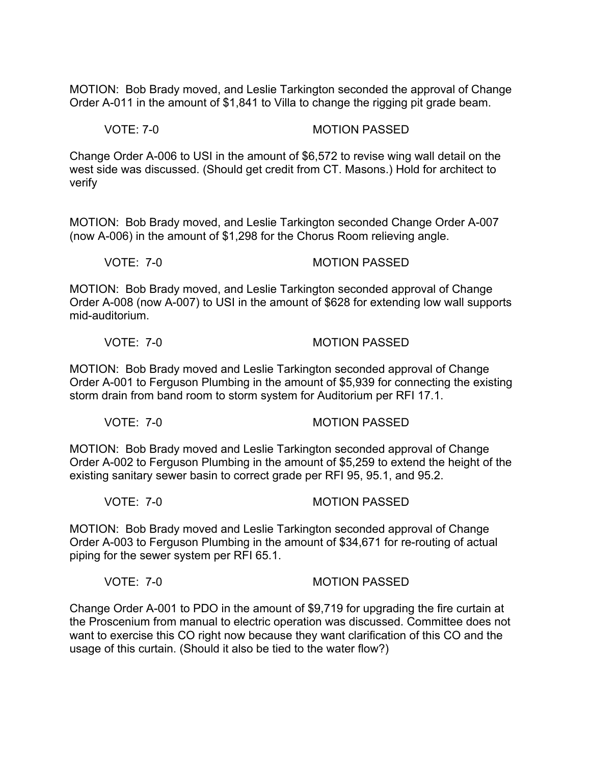MOTION: Bob Brady moved, and Leslie Tarkington seconded the approval of Change Order A-011 in the amount of \$1,841 to Villa to change the rigging pit grade beam.

VOTE: 7-0 MOTION PASSED

Change Order A-006 to USI in the amount of \$6,572 to revise wing wall detail on the west side was discussed. (Should get credit from CT. Masons.) Hold for architect to verify

MOTION: Bob Brady moved, and Leslie Tarkington seconded Change Order A-007 (now A-006) in the amount of \$1,298 for the Chorus Room relieving angle.

VOTE: 7-0 MOTION PASSED

MOTION: Bob Brady moved, and Leslie Tarkington seconded approval of Change Order A-008 (now A-007) to USI in the amount of \$628 for extending low wall supports mid-auditorium.

VOTE: 7-0 MOTION PASSED

MOTION: Bob Brady moved and Leslie Tarkington seconded approval of Change Order A-001 to Ferguson Plumbing in the amount of \$5,939 for connecting the existing storm drain from band room to storm system for Auditorium per RFI 17.1.

VOTE: 7-0 MOTION PASSED

MOTION: Bob Brady moved and Leslie Tarkington seconded approval of Change Order A-002 to Ferguson Plumbing in the amount of \$5,259 to extend the height of the existing sanitary sewer basin to correct grade per RFI 95, 95.1, and 95.2.

VOTE: 7-0 MOTION PASSED

MOTION: Bob Brady moved and Leslie Tarkington seconded approval of Change Order A-003 to Ferguson Plumbing in the amount of \$34,671 for re-routing of actual piping for the sewer system per RFI 65.1.

VOTE: 7-0 MOTION PASSED

Change Order A-001 to PDO in the amount of \$9,719 for upgrading the fire curtain at the Proscenium from manual to electric operation was discussed. Committee does not want to exercise this CO right now because they want clarification of this CO and the usage of this curtain. (Should it also be tied to the water flow?)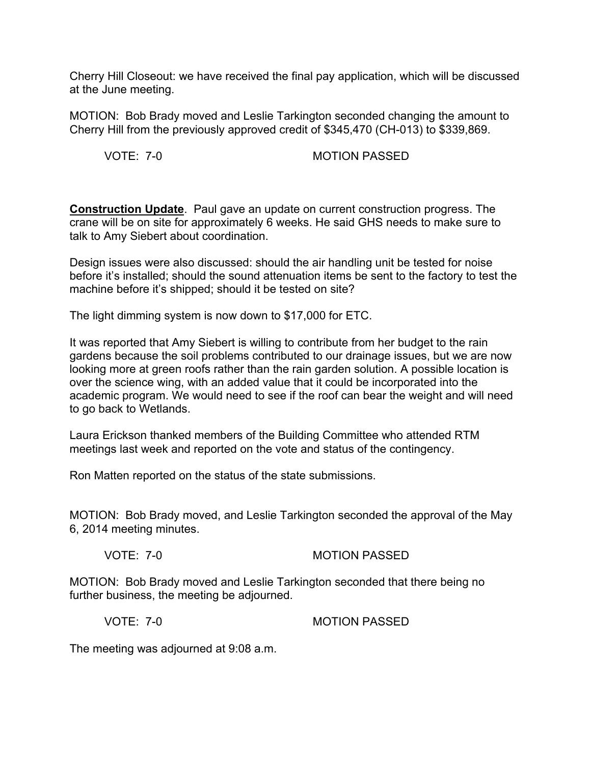Cherry Hill Closeout: we have received the final pay application, which will be discussed at the June meeting.

MOTION: Bob Brady moved and Leslie Tarkington seconded changing the amount to Cherry Hill from the previously approved credit of \$345,470 (CH-013) to \$339,869.

VOTE: 7-0 MOTION PASSED

**Construction Update**. Paul gave an update on current construction progress. The crane will be on site for approximately 6 weeks. He said GHS needs to make sure to talk to Amy Siebert about coordination.

Design issues were also discussed: should the air handling unit be tested for noise before it's installed; should the sound attenuation items be sent to the factory to test the machine before it's shipped; should it be tested on site?

The light dimming system is now down to \$17,000 for ETC.

It was reported that Amy Siebert is willing to contribute from her budget to the rain gardens because the soil problems contributed to our drainage issues, but we are now looking more at green roofs rather than the rain garden solution. A possible location is over the science wing, with an added value that it could be incorporated into the academic program. We would need to see if the roof can bear the weight and will need to go back to Wetlands.

Laura Erickson thanked members of the Building Committee who attended RTM meetings last week and reported on the vote and status of the contingency.

Ron Matten reported on the status of the state submissions.

MOTION: Bob Brady moved, and Leslie Tarkington seconded the approval of the May 6, 2014 meeting minutes.

VOTE: 7-0 MOTION PASSED

MOTION: Bob Brady moved and Leslie Tarkington seconded that there being no further business, the meeting be adjourned.

VOTE: 7-0 MOTION PASSED

The meeting was adjourned at 9:08 a.m.